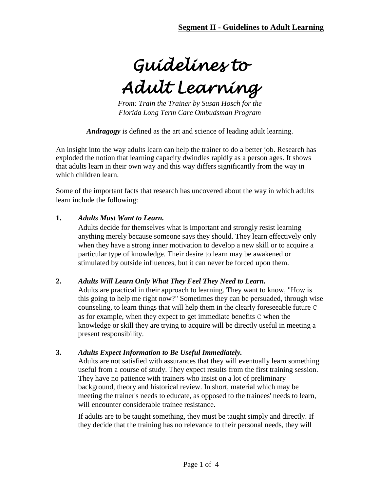**Segment II - Guidelines to Adult Learning**

*Guidelines to* 

*Adult Learning*

*From: Train the Trainer by Susan Hosch for the Florida Long Term Care Ombudsman Program*

*Andragogy* is defined as the art and science of leading adult learning.

An insight into the way adults learn can help the trainer to do a better job. Research has exploded the notion that learning capacity dwindles rapidly as a person ages. It shows that adults learn in their own way and this way differs significantly from the way in which children learn.

Some of the important facts that research has uncovered about the way in which adults learn include the following:

#### **1.** *Adults Must Want to Learn.*

Adults decide for themselves what is important and strongly resist learning anything merely because someone says they should. They learn effectively only when they have a strong inner motivation to develop a new skill or to acquire a particular type of knowledge. Their desire to learn may be awakened or stimulated by outside influences, but it can never be forced upon them.

#### **2.** *Adults Will Learn Only What They Feel They Need to Learn.*

Adults are practical in their approach to learning. They want to know, "How is this going to help me right now?" Sometimes they can be persuaded, through wise counseling, to learn things that will help them in the clearly foreseeable future C as for example, when they expect to get immediate benefits C when the knowledge or skill they are trying to acquire will be directly useful in meeting a present responsibility.

#### **3.** *Adults Expect Information to Be Useful Immediately.*

Adults are not satisfied with assurances that they will eventually learn something useful from a course of study. They expect results from the first training session. They have no patience with trainers who insist on a lot of preliminary background, theory and historical review. In short, material which may be meeting the trainer's needs to educate, as opposed to the trainees' needs to learn, will encounter considerable trainee resistance.

If adults are to be taught something, they must be taught simply and directly. If they decide that the training has no relevance to their personal needs, they will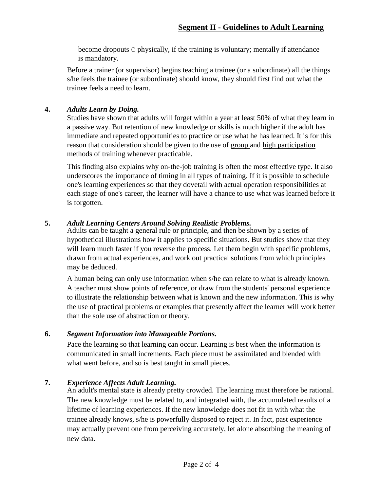become dropouts C physically, if the training is voluntary; mentally if attendance is mandatory.

Before a trainer (or supervisor) begins teaching a trainee (or a subordinate) all the things s/he feels the trainee (or subordinate) should know, they should first find out what the trainee feels a need to learn.

### **4.** *Adults Learn by Doing.*

Studies have shown that adults will forget within a year at least 50% of what they learn in a passive way. But retention of new knowledge or skills is much higher if the adult has immediate and repeated opportunities to practice or use what he has learned. It is for this reason that consideration should be given to the use of group and high participation methods of training whenever practicable.

This finding also explains why on-the-job training is often the most effective type. It also underscores the importance of timing in all types of training. If it is possible to schedule one's learning experiences so that they dovetail with actual operation responsibilities at each stage of one's career, the learner will have a chance to use what was learned before it is forgotten.

### **5.** *Adult Learning Centers Around Solving Realistic Problems.*

Adults can be taught a general rule or principle, and then be shown by a series of hypothetical illustrations how it applies to specific situations. But studies show that they will learn much faster if you reverse the process. Let them begin with specific problems, drawn from actual experiences, and work out practical solutions from which principles may be deduced.

A human being can only use information when s/he can relate to what is already known. A teacher must show points of reference, or draw from the students' personal experience to illustrate the relationship between what is known and the new information. This is why the use of practical problems or examples that presently affect the learner will work better than the sole use of abstraction or theory.

### **6.** *Segment Information into Manageable Portions.*

Pace the learning so that learning can occur. Learning is best when the information is communicated in small increments. Each piece must be assimilated and blended with what went before, and so is best taught in small pieces.

### **7.** *Experience Affects Adult Learning.*

An adult's mental state is already pretty crowded. The learning must therefore be rational. The new knowledge must be related to, and integrated with, the accumulated results of a lifetime of learning experiences. If the new knowledge does not fit in with what the trainee already knows, s/he is powerfully disposed to reject it. In fact, past experience may actually prevent one from perceiving accurately, let alone absorbing the meaning of new data.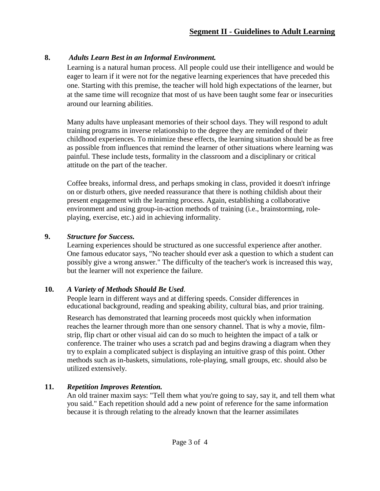# **8.** *Adults Learn Best in an Informal Environment.*

Learning is a natural human process. All people could use their intelligence and would be eager to learn if it were not for the negative learning experiences that have preceded this one. Starting with this premise, the teacher will hold high expectations of the learner, but at the same time will recognize that most of us have been taught some fear or insecurities around our learning abilities.

Many adults have unpleasant memories of their school days. They will respond to adult training programs in inverse relationship to the degree they are reminded of their childhood experiences. To minimize these effects, the learning situation should be as free as possible from influences that remind the learner of other situations where learning was painful. These include tests, formality in the classroom and a disciplinary or critical attitude on the part of the teacher.

Coffee breaks, informal dress, and perhaps smoking in class, provided it doesn't infringe on or disturb others, give needed reassurance that there is nothing childish about their present engagement with the learning process. Again, establishing a collaborative environment and using group-in-action methods of training (i.e., brainstorming, roleplaying, exercise, etc.) aid in achieving informality.

## **9.** *Structure for Success.*

Learning experiences should be structured as one successful experience after another. One famous educator says, "No teacher should ever ask a question to which a student can possibly give a wrong answer." The difficulty of the teacher's work is increased this way, but the learner will not experience the failure.

# **10.** *A Variety of Methods Should Be Used.*

People learn in different ways and at differing speeds. Consider differences in educational background, reading and speaking ability, cultural bias, and prior training.

Research has demonstrated that learning proceeds most quickly when information reaches the learner through more than one sensory channel. That is why a movie, filmstrip, flip chart or other visual aid can do so much to heighten the impact of a talk or conference. The trainer who uses a scratch pad and begins drawing a diagram when they try to explain a complicated subject is displaying an intuitive grasp of this point. Other methods such as in-baskets, simulations, role-playing, small groups, etc. should also be utilized extensively.

# **11.** *Repetition Improves Retention.*

An old trainer maxim says: "Tell them what you're going to say, say it, and tell them what you said." Each repetition should add a new point of reference for the same information because it is through relating to the already known that the learner assimilates